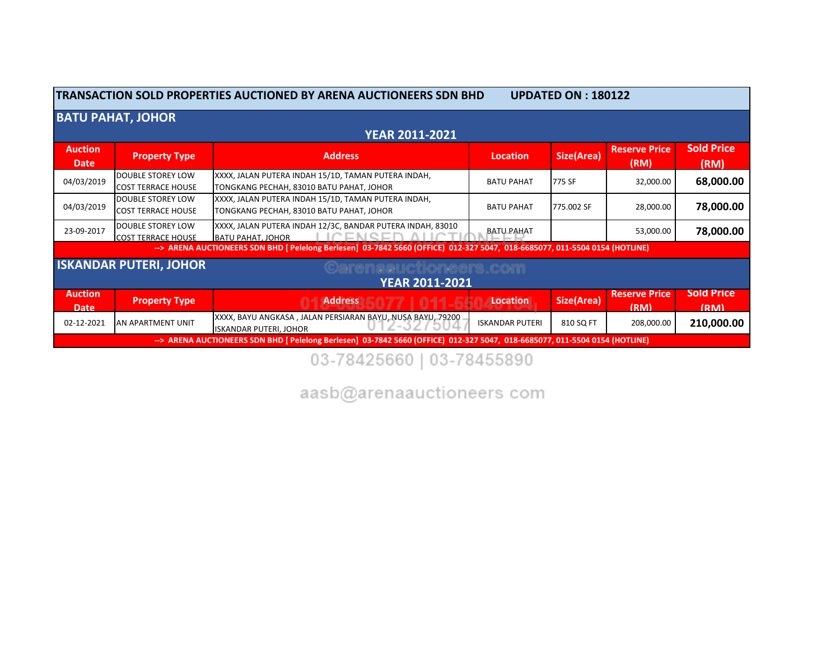| TRANSACTION SOLD PROPERTIES AUCTIONED BY ARENA AUCTIONEERS SDN BHD<br><b>UPDATED ON: 180122</b> |                                                       |                                                                                                                              |                        |                   |                              |                           |  |
|-------------------------------------------------------------------------------------------------|-------------------------------------------------------|------------------------------------------------------------------------------------------------------------------------------|------------------------|-------------------|------------------------------|---------------------------|--|
| <b>BATU PAHAT, JOHOR</b>                                                                        |                                                       |                                                                                                                              |                        |                   |                              |                           |  |
|                                                                                                 |                                                       | <b>YEAR 2011-2021</b>                                                                                                        |                        |                   |                              |                           |  |
| <b>Auction</b><br><b>Date</b>                                                                   | <b>Property Type</b>                                  | <b>Address</b>                                                                                                               | Location               | <b>Size(Area)</b> | <b>Reserve Price</b><br>(RM) | <b>Sold Price</b><br>(RM) |  |
| 04/03/2019                                                                                      | <b>DOUBLE STOREY LOW</b><br><b>COST TERRACE HOUSE</b> | XXXX, JALAN PUTERA INDAH 15/1D, TAMAN PUTERA INDAH,<br>TONGKANG PECHAH, 83010 BATU PAHAT, JOHOR                              | <b>BATU PAHAT</b>      | 775 SF            | 32,000.00                    | 68,000.00                 |  |
| 04/03/2019                                                                                      | <b>DOUBLE STOREY LOW</b><br><b>COST TERRACE HOUSE</b> | XXXX, JALAN PUTERA INDAH 15/1D, TAMAN PUTERA INDAH,<br>TONGKANG PECHAH, 83010 BATU PAHAT, JOHOR                              | <b>BATU PAHAT</b>      | 775.002 SF        | 28,000.00                    | 78,000.00                 |  |
| 23-09-2017                                                                                      | DOUBLE STOREY LOW<br><b>COST TERRACE HOUSE</b>        | XXXX, JALAN PUTERA INDAH 12/3C, BANDAR PUTERA INDAH, 83010<br><b>BATU PAHAT, JOHOR</b>                                       | <b>BATU PAHAT</b>      |                   | 53,000.00                    | 78,000.00                 |  |
|                                                                                                 |                                                       | -- > ARENA AUCTIONEERS SDN BHD [ Pelelong Berlesen] 03-7842 5660 (OFFICE) 012-327 5047, 018-6685077, 011-5504 0154 (HOTLINE) |                        |                   |                              |                           |  |
|                                                                                                 | <b>ISKANDAR PUTERI, JOHOR</b>                         | Carenaauctioneers.com                                                                                                        |                        |                   |                              |                           |  |
|                                                                                                 | <b>YEAR 2011-2021</b>                                 |                                                                                                                              |                        |                   |                              |                           |  |
| <b>Auction</b><br><b>Date</b>                                                                   | <b>Property Type</b>                                  | <b>Address</b>                                                                                                               | Location               | Size(Area)        | <b>Reserve Price</b><br>(RM) | <b>Sold Price</b><br>(RM) |  |
| 02-12-2021                                                                                      | AN APARTMENT UNIT                                     | XXXX, BAYU ANGKASA, JALAN PERSIARAN BAYU, NUSA BAYU, 79200<br>$=$ $\alpha$ 7<br>€JU⊿<br><b>ISKANDAR PUTERI, JOHOR</b>        | <b>ISKANDAR PUTERI</b> | 810 SQ FT         | 208,000.00                   | 210,000.00                |  |
|                                                                                                 |                                                       | --> ARENA AUCTIONEERS SDN BHD [ Pelelong Berlesen] 03-7842 5660 (OFFICE) 012-327 5047, 018-6685077, 011-5504 0154 (HOTLINE)  |                        |                   |                              |                           |  |

03-78425660 | 03-78455890

aasb@arenaauctioneers.com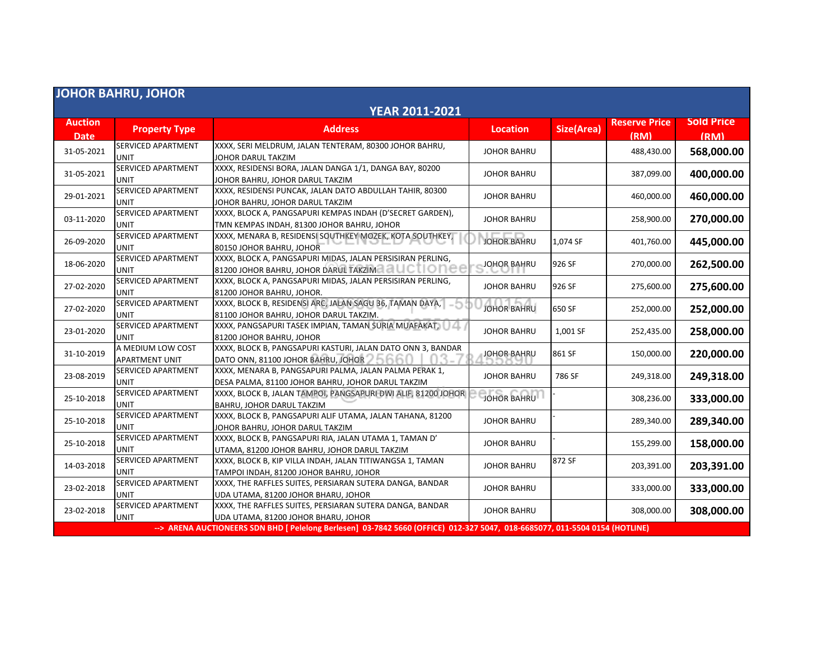| <b>JOHOR BAHRU, JOHOR</b>     |                                            |                                                                                                                             |                    |                   |                              |                           |  |
|-------------------------------|--------------------------------------------|-----------------------------------------------------------------------------------------------------------------------------|--------------------|-------------------|------------------------------|---------------------------|--|
| <b>YEAR 2011-2021</b>         |                                            |                                                                                                                             |                    |                   |                              |                           |  |
| <b>Auction</b><br><b>Date</b> | <b>Property Type</b>                       | <b>Address</b>                                                                                                              | <b>Location</b>    | <b>Size(Area)</b> | <b>Reserve Price</b><br>(RM) | <b>Sold Price</b><br>(RM) |  |
| 31-05-2021                    | <b>SERVICED APARTMENT</b><br><b>UNIT</b>   | XXXX, SERI MELDRUM, JALAN TENTERAM, 80300 JOHOR BAHRU,<br>JOHOR DARUL TAKZIM                                                | <b>JOHOR BAHRU</b> |                   | 488,430.00                   | 568,000.00                |  |
| 31-05-2021                    | SERVICED APARTMENT<br><b>UNIT</b>          | XXXX, RESIDENSI BORA, JALAN DANGA 1/1, DANGA BAY, 80200<br>JOHOR BAHRU, JOHOR DARUL TAKZIM                                  | <b>JOHOR BAHRU</b> |                   | 387,099.00                   | 400,000.00                |  |
| 29-01-2021                    | <b>SERVICED APARTMENT</b><br><b>UNIT</b>   | XXXX, RESIDENSI PUNCAK, JALAN DATO ABDULLAH TAHIR, 80300<br>JOHOR BAHRU, JOHOR DARUL TAKZIM                                 | <b>JOHOR BAHRU</b> |                   | 460,000.00                   | 460,000.00                |  |
| 03-11-2020                    | <b>SERVICED APARTMENT</b><br>UNIT          | XXXX, BLOCK A, PANGSAPURI KEMPAS INDAH (D'SECRET GARDEN),<br>TMN KEMPAS INDAH, 81300 JOHOR BAHRU, JOHOR                     | <b>JOHOR BAHRU</b> |                   | 258,900.00                   | 270,000.00                |  |
| 26-09-2020                    | SERVICED APARTMENT<br><b>UNIT</b>          | XXXX, MENARA B, RESIDENSI SOUTHKEY MOZEK, KOTA SOUTHKEY,<br>80150 JOHOR BAHRU, JOHOR                                        | <b>JOHOR BAHRU</b> | 1,074 SF          | 401,760.00                   | 445,000.00                |  |
| 18-06-2020                    | <b>SERVICED APARTMENT</b><br>UNIT          | XXXX, BLOCK A, PANGSAPURI MIDAS, JALAN PERSISIRAN PERLING,<br>81200 JOHOR BAHRU, JOHOR DARUL TAKZIM ALL CTIO                | <b>JOHOR BAHRU</b> | 926 SF            | 270,000.00                   | 262,500.00                |  |
| 27-02-2020                    | SERVICED APARTMENT<br><b>UNIT</b>          | XXXX, BLOCK A, PANGSAPURI MIDAS, JALAN PERSISIRAN PERLING,<br>81200 JOHOR BAHRU, JOHOR.                                     | <b>JOHOR BAHRU</b> | 926 SF            | 275,600.00                   | 275,600.00                |  |
| 27-02-2020                    | <b>SERVICED APARTMENT</b><br><b>UNIT</b>   | XXXX, BLOCK B, RESIDENSI ARC, JALAN SAGU 36, TAMAN DAYA,<br>-5<br>81100 JOHOR BAHRU, JOHOR DARUL TAKZIM.                    | <b>JOHOR BAHRU</b> | 650 SF            | 252,000.00                   | 252,000.00                |  |
| 23-01-2020                    | SERVICED APARTMENT<br><b>UNIT</b>          | XXXX, PANGSAPURI TASEK IMPIAN, TAMAN SURIA MUAFAKAT, 14<br>81200 JOHOR BAHRU, JOHOR                                         | <b>JOHOR BAHRU</b> | 1,001 SF          | 252,435.00                   | 258,000.00                |  |
| 31-10-2019                    | A MEDIUM LOW COST<br><b>APARTMENT UNIT</b> | XXXX, BLOCK B, PANGSAPURI KASTURI, JALAN DATO ONN 3, BANDAR<br>DATO ONN, 81100 JOHOR BAHRU, JOHOR ALL                       | <b>JOHOR BAHRU</b> | 861 SF            | 150,000.00                   | 220,000.00                |  |
| 23-08-2019                    | <b>SERVICED APARTMENT</b><br><b>UNIT</b>   | XXXX, MENARA B, PANGSAPURI PALMA, JALAN PALMA PERAK 1,<br>DESA PALMA, 81100 JOHOR BAHRU, JOHOR DARUL TAKZIM                 | <b>JOHOR BAHRU</b> | 786 SF            | 249,318.00                   | 249,318.00                |  |
| 25-10-2018                    | <b>SERVICED APARTMENT</b><br>UNIT          | XXXX, BLOCK B, JALAN TAMPOI, PANGSAPURI DWI ALIF, 81200 JOHOR<br>BAHRU, JOHOR DARUL TAKZIM                                  | <b>JOHOR BAHRU</b> |                   | 308,236.00                   | 333,000.00                |  |
| 25-10-2018                    | <b>SERVICED APARTMENT</b><br>UNIT          | XXXX, BLOCK B, PANGSAPURI ALIF UTAMA, JALAN TAHANA, 81200<br>JOHOR BAHRU, JOHOR DARUL TAKZIM                                | <b>JOHOR BAHRU</b> |                   | 289,340.00                   | 289,340.00                |  |
| 25-10-2018                    | <b>SERVICED APARTMENT</b><br><b>UNIT</b>   | XXXX, BLOCK B, PANGSAPURI RIA, JALAN UTAMA 1, TAMAN D'<br>UTAMA, 81200 JOHOR BAHRU, JOHOR DARUL TAKZIM                      | <b>JOHOR BAHRU</b> |                   | 155,299.00                   | 158,000.00                |  |
| 14-03-2018                    | <b>SERVICED APARTMENT</b><br><b>UNIT</b>   | XXXX, BLOCK B, KIP VILLA INDAH, JALAN TITIWANGSA 1, TAMAN<br>TAMPOI INDAH, 81200 JOHOR BAHRU, JOHOR                         | <b>JOHOR BAHRU</b> | 872 SF            | 203,391.00                   | 203,391.00                |  |
| 23-02-2018                    | SERVICED APARTMENT<br><b>UNIT</b>          | XXXX, THE RAFFLES SUITES, PERSIARAN SUTERA DANGA, BANDAR<br>UDA UTAMA, 81200 JOHOR BHARU, JOHOR                             | <b>JOHOR BAHRU</b> |                   | 333,000.00                   | 333,000.00                |  |
| 23-02-2018                    | SERVICED APARTMENT<br><b>UNIT</b>          | XXXX, THE RAFFLES SUITES, PERSIARAN SUTERA DANGA, BANDAR<br>UDA UTAMA, 81200 JOHOR BHARU, JOHOR                             | <b>JOHOR BAHRU</b> |                   | 308,000.00                   | 308,000.00                |  |
|                               |                                            | --> ARENA AUCTIONEERS SDN BHD [ Pelelong Berlesen] 03-7842 5660 (OFFICE) 012-327 5047, 018-6685077, 011-5504 0154 (HOTLINE) |                    |                   |                              |                           |  |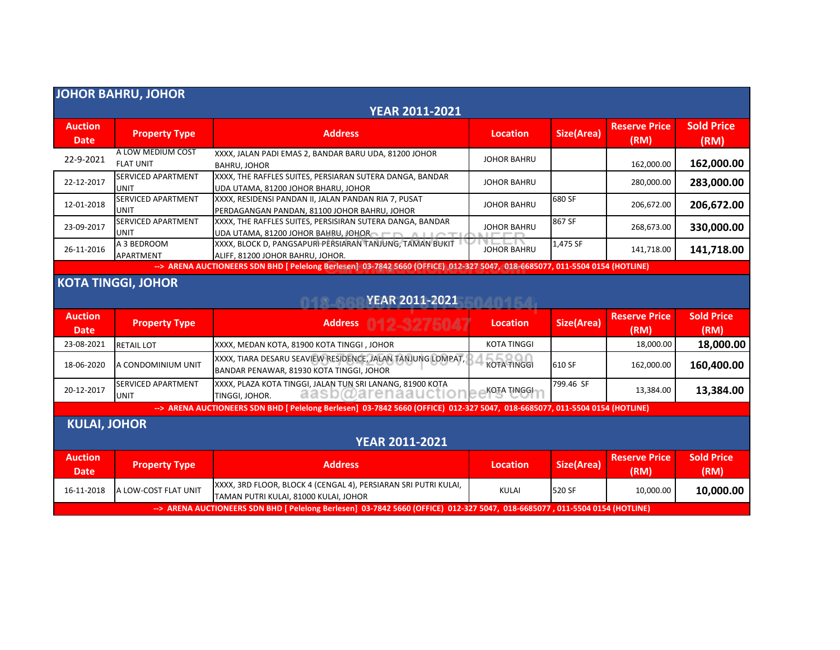| <b>JOHOR BAHRU, JOHOR</b>                                             |                                          |                                                                                                                             |                    |                   |                              |                           |  |
|-----------------------------------------------------------------------|------------------------------------------|-----------------------------------------------------------------------------------------------------------------------------|--------------------|-------------------|------------------------------|---------------------------|--|
| <b>YEAR 2011-2021</b>                                                 |                                          |                                                                                                                             |                    |                   |                              |                           |  |
| <b>Auction</b><br><b>Date</b>                                         | <b>Property Type</b>                     | <b>Address</b>                                                                                                              | <b>Location</b>    | Size(Area)        | <b>Reserve Price</b><br>(RM) | <b>Sold Price</b><br>(RM) |  |
| 22-9-2021                                                             | A LOW MEDIUM COST<br><b>FLAT UNIT</b>    | XXXX, JALAN PADI EMAS 2, BANDAR BARU UDA, 81200 JOHOR<br><b>BAHRU, JOHOR</b>                                                | <b>JOHOR BAHRU</b> |                   | 162,000.00                   | 162,000.00                |  |
| 22-12-2017                                                            | <b>SERVICED APARTMENT</b><br><b>UNIT</b> | XXXX, THE RAFFLES SUITES, PERSIARAN SUTERA DANGA, BANDAR<br>UDA UTAMA, 81200 JOHOR BHARU, JOHOR                             | <b>JOHOR BAHRU</b> |                   | 280,000.00                   | 283,000.00                |  |
| 12-01-2018                                                            | SERVICED APARTMENT<br>UNIT               | XXXX, RESIDENSI PANDAN II, JALAN PANDAN RIA 7, PUSAT<br>PERDAGANGAN PANDAN, 81100 JOHOR BAHRU, JOHOR                        | <b>JOHOR BAHRU</b> | 680 SF            | 206,672.00                   | 206,672.00                |  |
| 23-09-2017                                                            | <b>SERVICED APARTMENT</b><br>UNIT        | XXXX, THE RAFFLES SUITES, PERSISIRAN SUTERA DANGA, BANDAR<br>UDA UTAMA, 81200 JOHOR BAHRU, JOHOR <b>THEFT AND</b>           | <b>JOHOR BAHRU</b> | 867 SF            | 268,673.00                   | 330,000.00                |  |
| 26-11-2016                                                            | A 3 BEDROOM<br>APARTMENT                 | XXXX, BLOCK D, PANGSAPURI PERSIARAN TANJUNG, TAMAN BUKIT<br>ALIFF, 81200 JOHOR BAHRU, JOHOR.                                | <b>JOHOR BAHRU</b> | 1,475 SF          | 141,718.00                   | 141,718.00                |  |
|                                                                       |                                          | --> ARENA AUCTIONEERS SDN BHD [ Pelelong Berlesen] 03-7842 5660 (OFFICE) 012-327 5047, 018-6685077, 011-5504 0154 (HOTLINE) |                    |                   |                              |                           |  |
| <b>KOTA TINGGI, JOHOR</b><br><b>YEAR 2011-2021</b><br>04015A<br>01266 |                                          |                                                                                                                             |                    |                   |                              |                           |  |
| <b>Auction</b><br><b>Date</b>                                         | <b>Property Type</b>                     | Address 012-3275047                                                                                                         | <b>Location</b>    | Size(Area)        | <b>Reserve Price</b><br>(RM) | <b>Sold Price</b><br>(RM) |  |
| 23-08-2021                                                            | <b>RETAIL LOT</b>                        | XXXX, MEDAN KOTA, 81900 KOTA TINGGI, JOHOR                                                                                  | <b>KOTA TINGGI</b> |                   | 18,000.00                    | 18,000.00                 |  |
| 18-06-2020                                                            | A CONDOMINIUM UNIT                       | XXXX, TIARA DESARU SEAVIEW RESIDENCE, JALAN TANJUNG LOMPAT,<br>BANDAR PENAWAR, 81930 KOTA TINGGI, JOHOR                     | <b>KOTA TINGGI</b> | 610 SF            | 162,000.00                   | 160,400.00                |  |
| 20-12-2017                                                            | <b>SERVICED APARTMENT</b><br>UNIT        | XXXX, PLAZA KOTA TINGGI, JALAN TUN SRI LANANG, 81900 KOTA<br>aasb@arenaauctiol<br>TINGGI, JOHOR.                            | KOTA TINGGI        | 799.46 SF         | 13,384.00                    | 13,384.00                 |  |
|                                                                       |                                          | --> ARENA AUCTIONEERS SDN BHD [ Pelelong Berlesen] 03-7842 5660 (OFFICE) 012-327 5047, 018-6685077, 011-5504 0154 (HOTLINE) |                    |                   |                              |                           |  |
| <b>KULAI, JOHOR</b>                                                   |                                          |                                                                                                                             |                    |                   |                              |                           |  |
| <b>YEAR 2011-2021</b>                                                 |                                          |                                                                                                                             |                    |                   |                              |                           |  |
| <b>Auction</b><br><b>Date</b>                                         | <b>Property Type</b>                     | <b>Address</b>                                                                                                              | <b>Location</b>    | <b>Size(Area)</b> | <b>Reserve Price</b><br>(RM) | <b>Sold Price</b><br>(RM) |  |
| 16-11-2018                                                            | A LOW-COST FLAT UNIT                     | XXXX, 3RD FLOOR, BLOCK 4 (CENGAL 4), PERSIARAN SRI PUTRI KULAI,<br>TAMAN PUTRI KULAI, 81000 KULAI, JOHOR                    | <b>KULAI</b>       | 520 SF            | 10.000.00                    | 10,000.00                 |  |
|                                                                       |                                          | --> ARENA AUCTIONEERS SDN BHD [ Pelelong Berlesen] 03-7842 5660 (OFFICE) 012-327 5047, 018-6685077, 011-5504 0154 (HOTLINE) |                    |                   |                              |                           |  |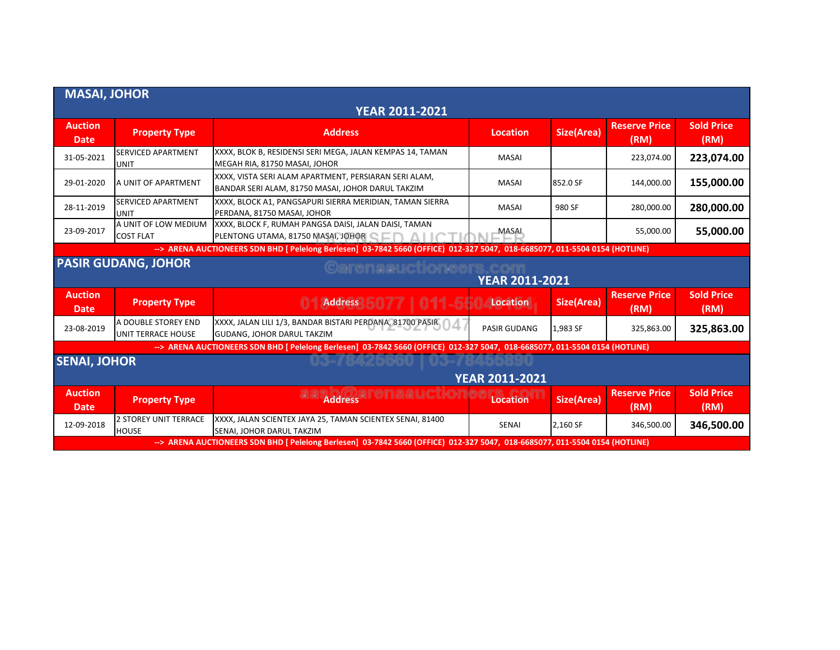| <b>MASAI, JOHOR</b>           |                                                                                     |                                                                                                                             |                     |            |                              |                           |  |
|-------------------------------|-------------------------------------------------------------------------------------|-----------------------------------------------------------------------------------------------------------------------------|---------------------|------------|------------------------------|---------------------------|--|
| <b>YEAR 2011-2021</b>         |                                                                                     |                                                                                                                             |                     |            |                              |                           |  |
| <b>Auction</b><br><b>Date</b> | <b>Property Type</b>                                                                | <b>Address</b>                                                                                                              | Location            | Size(Area) | <b>Reserve Price</b><br>(RM) | <b>Sold Price</b><br>(RM) |  |
| 31-05-2021                    | <b>SERVICED APARTMENT</b><br><b>UNIT</b>                                            | XXXX, BLOK B, RESIDENSI SERI MEGA, JALAN KEMPAS 14, TAMAN<br>MEGAH RIA, 81750 MASAI, JOHOR                                  | <b>MASAI</b>        |            | 223,074.00                   | 223,074.00                |  |
| 29-01-2020                    | A UNIT OF APARTMENT                                                                 | XXXX, VISTA SERI ALAM APARTMENT, PERSIARAN SERI ALAM,<br>BANDAR SERI ALAM, 81750 MASAI, JOHOR DARUL TAKZIM                  | <b>MASAI</b>        | 852.0 SF   | 144,000.00                   | 155,000.00                |  |
| 28-11-2019                    | <b>SERVICED APARTMENT</b><br><b>UNIT</b>                                            | XXXX, BLOCK A1, PANGSAPURI SIERRA MERIDIAN, TAMAN SIERRA<br>PERDANA, 81750 MASAI, JOHOR                                     | <b>MASAI</b>        | 980 SF     | 280,000.00                   | 280,000.00                |  |
| 23-09-2017                    | A UNIT OF LOW MEDIUM<br><b>COST FLAT</b>                                            | XXXX, BLOCK F, RUMAH PANGSA DAISI, JALAN DAISI, TAMAN<br>PLENTONG UTAMA, 81750 MASAI, JOHOR COLLECTION                      | <b>MASAI</b>        |            | 55,000.00                    | 55,000.00                 |  |
|                               |                                                                                     | --> ARENA AUCTIONEERS SDN BHD [ Pelelong Berlesen] 03-7842 5660 (OFFICE) 012-327 5047, 018-6685077, 011-5504 0154 (HOTLINE) |                     |            |                              |                           |  |
|                               | <b>PASIR GUDANG, JOHOR</b><br><b>©arenaauctioneers.com</b><br><b>YEAR 2011-2021</b> |                                                                                                                             |                     |            |                              |                           |  |
| <b>Auction</b><br><b>Date</b> | <b>Property Type</b>                                                                | <b>Address</b>                                                                                                              | Location            | Size(Area) | <b>Reserve Price</b><br>(RM) | <b>Sold Price</b><br>(RM) |  |
| 23-08-2019                    | A DOUBLE STOREY END<br>UNIT TERRACE HOUSE                                           | XXXX, JALAN LILI 1/3, BANDAR BISTARI PERDANA, 81700 PASIR<br>GUDANG, JOHOR DARUL TAKZIM                                     | <b>PASIR GUDANG</b> | 1,983 SF   | 325,863.00                   | 325,863.00                |  |
|                               |                                                                                     | --> ARENA AUCTIONEERS SDN BHD   Pelelong Berlesen] 03-7842 5660 (OFFICE) 012-327 5047, 018-6685077, 011-5504 0154 (HOTLINE) |                     |            |                              |                           |  |
| <b>SENAI, JOHOR</b>           |                                                                                     |                                                                                                                             |                     |            |                              |                           |  |
| YEAR 2011-2021                |                                                                                     |                                                                                                                             |                     |            |                              |                           |  |
| <b>Auction</b><br><b>Date</b> | <b>Property Type</b>                                                                | <b>Address</b>                                                                                                              | <b>Location</b>     | Size(Area) | <b>Reserve Price</b><br>(RM) | <b>Sold Price</b><br>(RM) |  |
| 12-09-2018                    | <b>2 STOREY UNIT TERRACE</b><br><b>HOUSE</b>                                        | XXXX, JALAN SCIENTEX JAYA 25, TAMAN SCIENTEX SENAI, 81400<br>SENAI, JOHOR DARUL TAKZIM                                      | <b>SENAI</b>        | 2,160 SF   | 346,500.00                   | 346,500.00                |  |
|                               |                                                                                     | --> ARENA AUCTIONEERS SDN BHD [ Pelelong Berlesen] 03-7842 5660 (OFFICE) 012-327 5047, 018-6685077, 011-5504 0154 (HOTLINE) |                     |            |                              |                           |  |